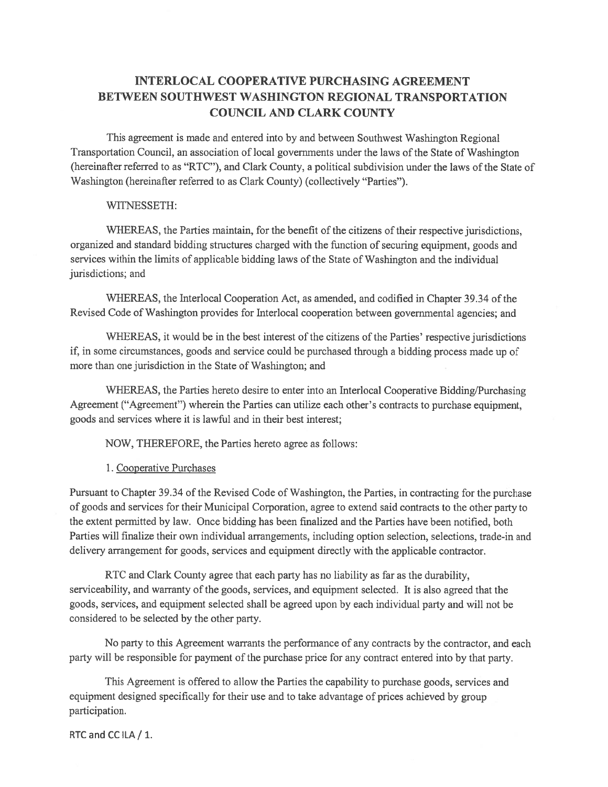# **INTERLOCAL COOPERATIVE PURCHASING AGREEMENT BETWEEN SOUTHWEST WASHINGTON REGIONAL TRANSPORTATION COUNCIL AND CLARK COUNTY**

This agreement is made and entered into by and between Southwest Washington Regional Transportation Council, an association of local governments under the laws of the State of Washington (hereinafter referred to as "RTC"), and Clark County, a political subdivision under the laws of the State of Washington (hereinafter referred to as Clark County) (collectively "Parties").

### WITNESSETH:

WHEREAS, the Parties maintain, for the benefit of the citizens of their respective jurisdictions, organized and standard bidding structures charged with the function of securing equipment, goods and services within the limits of applicable bidding laws of the State of Washington and the individual jurisdictions; and

WHEREAS, the Interlocal Cooperation Act, as amended, and codified in Chapter 39.34 of the Revised Code of Washington provides for Interlocal cooperation between governmental agencies; and

WHEREAS, it would be in the best interest of the citizens of the Parties' respective jurisdictions if, in some circumstances, goods and service could be purchased through a bidding process made up of more than one jurisdiction in the State of Washington; and

WHEREAS, the Parties hereto desire to enter into an Interlocal Cooperative Bidding/Purchasing Agreement ("Agreement") wherein the Parties can utilize each other's contracts to purchase equipment, goods and services where it is lawful and in their best interest;

NOW, THEREFORE, the Parties hereto agree as follows:

1. Cooperative Purchases

Pursuant to Chapter 39.34 of the Revised Code of Washington, the Parties, in contracting for the purchase of goods and services for their Municipal Corporation, agree to extend said contracts to the other party to the extent permitted by law. Once bidding has been finalized and the Parties have been notified, both Parties will finalize their own individual arrangements, including option selection, selections, trade-in and delivery arrangement for goods, services and equipment directly with the applicable contractor.

RTC and Clark County agree that each party has no liability as far as the durability, serviceability, and warranty of the goods, services, and equipment selected. It is also agreed that the goods, services, and equipment selected shall be agreed upon by each individual party and will not be considered to be selected by the other party.

No party to this Agreement warrants the performance of any contracts by the contractor, and each party will be responsible for payment of the purchase price for any contract entered into by that party.

This Agreement is offered to allow the Parties the capability to purchase goods, services and equipment designed specifically for their use and to take advantage of prices achieved by group participation.

RTC and CC ILA / 1.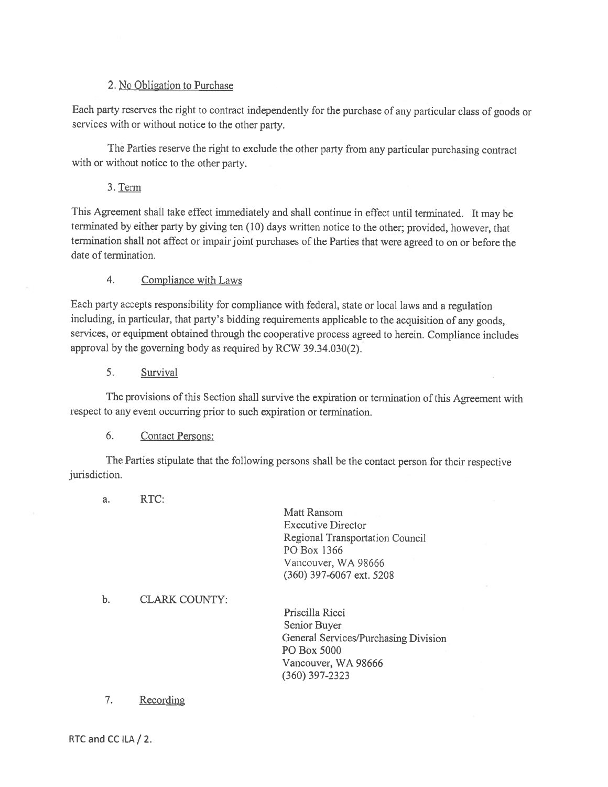## 2. No Obligation to Purchase

Each party reserves the right to contract independently for the purchase of any particular class of goods or services with or without notice to the other party.

The Parties reserve the right to exclude the other party from any particular purchasing contract with or without notice to the other party.

## 3. Term

This Agreement shall take effect immediately and shall continue in effect until terminated. It may be terminated by either party by giving ten (10) days written notice to the other; provided, however, that termination shall not affect or impair joint purchases of the Parties that were agreed to on or before the date of termination.

#### $4.$ Compliance with Laws

Each party accepts responsibility for compliance with federal, state or local laws and a regulation including, in particular, that party's bidding requirements applicable to the acquisition of any goods, services, or equipment obtained through the cooperative process agreed to herein. Compliance includes approval by the governing body as required by RCW 39.34.030(2).

5. Survival

The provisions of this Section shall survive the expiration or termination of this Agreement with respect to any event occurring prior to such expiration or termination.

#### 6. **Contact Persons:**

The Parties stipulate that the following persons shall be the contact person for their respective jurisdiction.

RTC: a.

> Matt Ransom **Executive Director** Regional Transportation Council PO Box 1366 Vancouver, WA 98666 (360) 397-6067 ext. 5208

#### $\mathbf b$ . **CLARK COUNTY:**

Priscilla Ricci Senior Buyer General Services/Purchasing Division PO Box 5000 Vancouver, WA 98666  $(360)$  397-2323

#### 7. Recording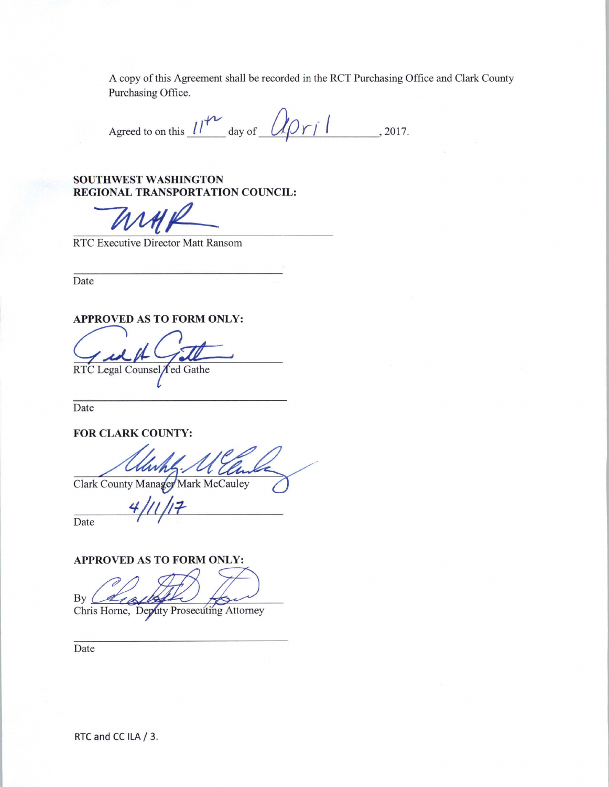A copy of this Agreement shall be recorded in the RCT Purchasing Office and Clark County Purchasing Office.

Agreed to on this  $11^{12}$  day of  $0 \sqrt{2} r / 1$ , 2017.

SOUTHWEST WASHINGTON REGIONAL TRANSPORTATION COUNCIL:

RTC Executive Director Matt Ransom

Date

APPROVED AS TO FORM ONLY:

RTC Legal Counsel Ted Gathe

Date

FOR CLARK COUNTY:

Clark County Manager Mark McCauley

Date

APPROVED AS TO FORM ONLY:

 $By<sub>0</sub>$ Chris Horne, Deputy Prosecuting Attorney

Date

RTC and CC ILA / 3.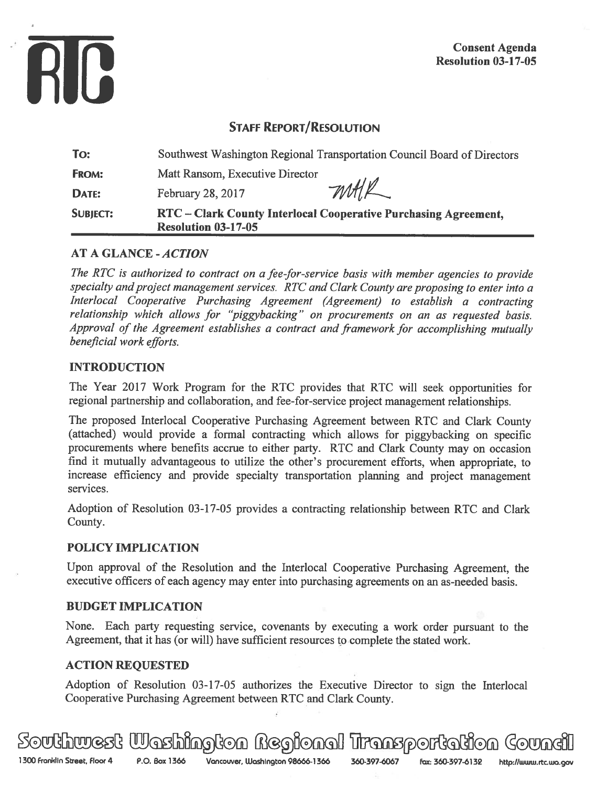

# **STAFF REPORT/RESOLUTION**

| To:             | Southwest Washington Regional Transportation Council Board of Directors                       |  |  |
|-----------------|-----------------------------------------------------------------------------------------------|--|--|
| <b>FROM:</b>    | Matt Ransom, Executive Director                                                               |  |  |
| DATE:           | <i>mAL</i><br>February 28, 2017                                                               |  |  |
| <b>SUBJECT:</b> | RTC - Clark County Interlocal Cooperative Purchasing Agreement,<br><b>Resolution 03-17-05</b> |  |  |

# **AT A GLANCE - ACTION**

The RTC is authorized to contract on a fee-for-service basis with member agencies to provide specialty and project management services. RTC and Clark County are proposing to enter into a Interlocal Cooperative Purchasing Agreement (Agreement) to establish a contracting relationship which allows for "piggybacking" on procurements on an as requested basis. Approval of the Agreement establishes a contract and framework for accomplishing mutually beneficial work efforts.

## **INTRODUCTION**

The Year 2017 Work Program for the RTC provides that RTC will seek opportunities for regional partnership and collaboration, and fee-for-service project management relationships.

The proposed Interlocal Cooperative Purchasing Agreement between RTC and Clark County (attached) would provide a formal contracting which allows for piggybacking on specific procurements where benefits accrue to either party. RTC and Clark County may on occasion find it mutually advantageous to utilize the other's procurement efforts, when appropriate, to increase efficiency and provide specialty transportation planning and project management services.

Adoption of Resolution 03-17-05 provides a contracting relationship between RTC and Clark County.

## **POLICY IMPLICATION**

Upon approval of the Resolution and the Interlocal Cooperative Purchasing Agreement, the executive officers of each agency may enter into purchasing agreements on an as-needed basis.

## **BUDGET IMPLICATION**

None. Each party requesting service, covenants by executing a work order pursuant to the Agreement, that it has (or will) have sufficient resources to complete the stated work.

## **ACTION REQUESTED**

Adoption of Resolution 03-17-05 authorizes the Executive Director to sign the Interlocal Cooperative Purchasing Agreement between RTC and Clark County.

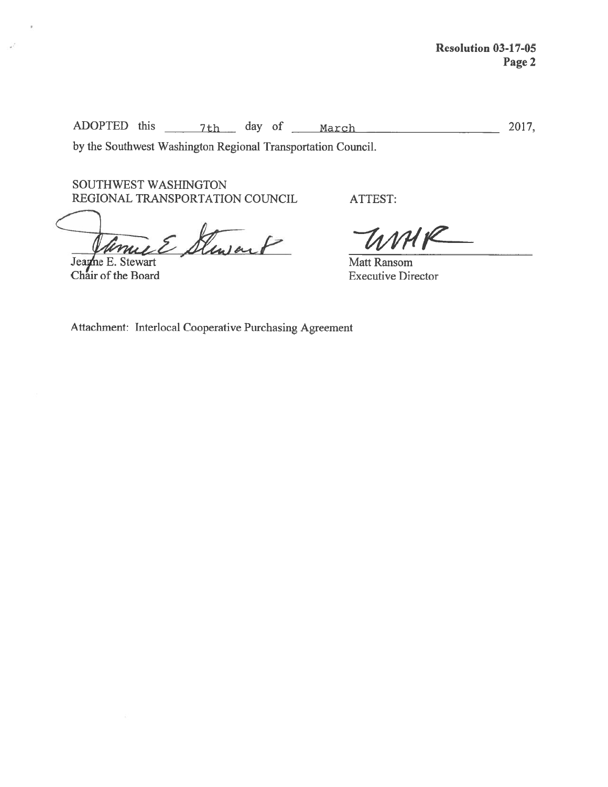2017,

by the Southwest Washington Regional Transportation Council.

SOUTHWEST WASHINGTON REGIONAL TRANSPORTATION COUNCIL

muel Stewart Jeanne E. Stewart

Chair of the Board

-58

UMK Matt Ransom **Executive Director** 

ATTEST:

Attachment: Interlocal Cooperative Purchasing Agreement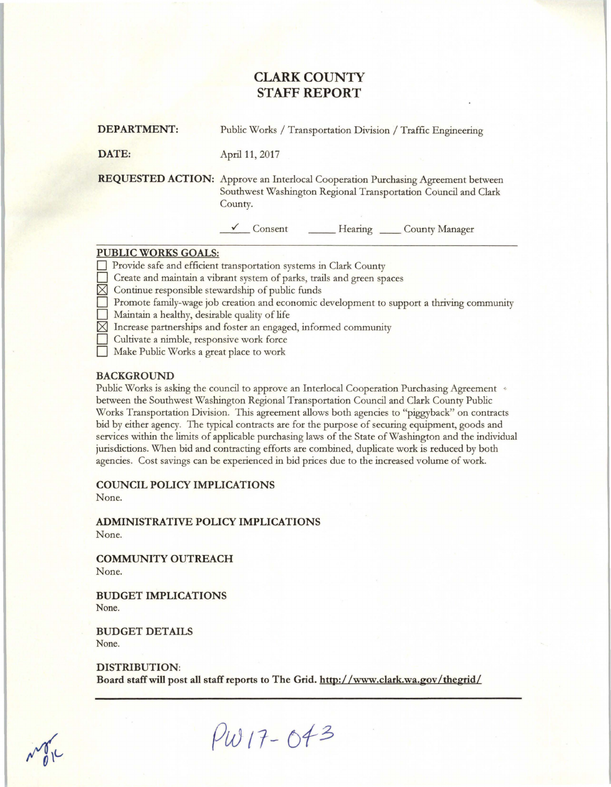# **CLARK COUNTY STAFF REPORT**

| <b>DEPARTMENT:</b> |  | Public Works / Transportation Division / Traffic Engineering |  |
|--------------------|--|--------------------------------------------------------------|--|
|--------------------|--|--------------------------------------------------------------|--|

**DATE:** April 11, 2017

**REQUESTED ACTION:** Approve an Interlocal Cooperation Purchasing Agreement between Southwest Washington Regional Transportation Council and Clark County.

<sup>~</sup>Consent \_\_ Hearing \_\_ County Manager

### **PUBLIC WORKS GOALS:**

**Provide safe and efficient transportation systems in Clark County** 

Create and maintain a vibrant system of parks, trails and green spaces

- $\boxtimes$  Continue responsible stewardship of public funds
- 0 Promote family-wage job creation and economic development to support a thriving community
- 0 Maintain a healthy, desirable quality of life
- $\boxtimes$  Increase partnerships and foster an engaged, informed community
- 0 Cultivate a nimble, responsive work force
	- Make Public Works a great place to work

### **BACKGROUND**

Public Works is asking the council to approve an Interlocal Cooperation Purchasing Agreement \* between the Southwest Washington Regional Transportation Council and Clark County Public Works Transportation Division. This agreement allows both agencies to "piggyback" on contracts bid by either agency. The typical contracts are for the purpose of securing equipment, goods and services within the limits of applicable purchasing laws of the State of Washington and the individual jurisdictions. When bid and contracting efforts are combined, duplicate work is reduced by both agencies. Cost savings can be experienced in bid prices due to the increased volume of work.

**COUNCIL POLICY IMPLICATIONS** 

None.

**ADMINISTRATIVE POLICY IMPLICATIONS**  None.

**COMMUNITY OUTREACH**  None.

**BUDGET IMPLICATIONS**  None.

**BUDGET DETAILS**  None.

**DISTRIBUTION:**  Board staff will post all staff reports to The Grid. http://www.clark.wa.gov/thegrid/

 $M_{0}$ 

**Pw** *11-* of *<sup>3</sup>*